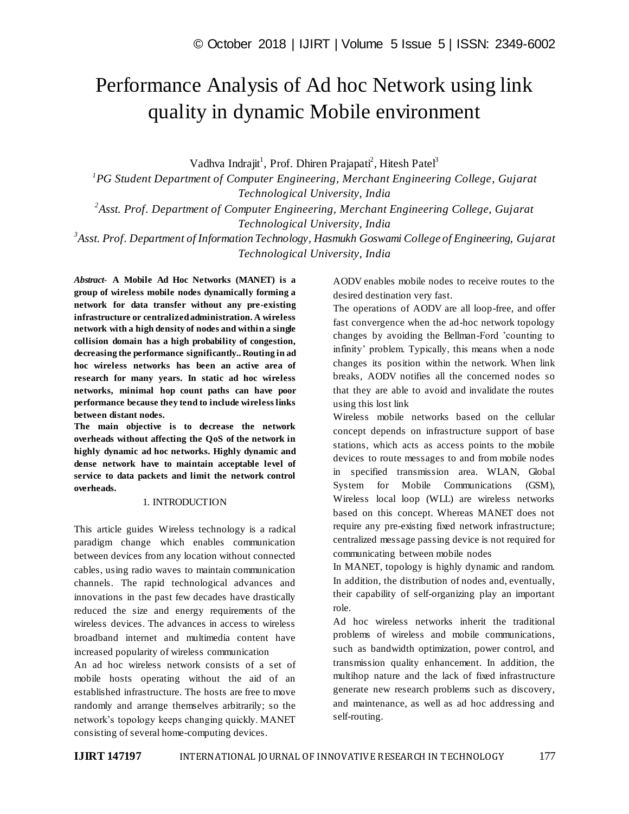# Performance Analysis of Ad hoc Network using link quality in dynamic Mobile environment

Vadhva Indrajit<sup>1</sup>, Prof. Dhiren Prajapati<sup>2</sup>, Hitesh Patel<sup>3</sup>

<sup>1</sup> PG Student Department of Computer Engineering, Merchant Engineering College, Gujarat *Technological University, India*

<sup>2</sup> Asst. Prof. Department of Computer Engineering, Merchant Engineering College, Gujarat *Technological University, India*

*3 Asst. Prof. Department of Information Technology, Hasmukh Goswami College of Engineering, Gujarat Technological University, India*

*Abstract*- **A Mobile Ad Hoc Networks (MANET) is a group of wireless mobile nodes dynamically forming a network for data transfer without any pre-existing infrastructure or centralized administration. A wireless network with a high density of nodes and within a single collision domain has a high probability of congestion, decreasing the performance significantly.. Routing in ad hoc wireless networks has been an active area of research for many years. In static ad hoc wireless networks, minimal hop count paths can have poor performance because they tend to include wireless links between distant nodes.**

**The main objective is to decrease the network overheads without affecting the QoS of the network in highly dynamic ad hoc networks. Highly dynamic and dense network have to maintain acceptable level of service to data packets and limit the network control overheads.**

## 1. INTRODUCTION

This article guides Wireless technology is a radical paradigm change which enables communication between devices from any location without connected cables, using radio waves to maintain communication channels. The rapid technological advances and innovations in the past few decades have drastically reduced the size and energy requirements of the wireless devices. The advances in access to wireless broadband internet and multimedia content have increased popularity of wireless communication

An ad hoc wireless network consists of a set of mobile hosts operating without the aid of an established infrastructure. The hosts are free to move randomly and arrange themselves arbitrarily; so the network's topology keeps changing quickly. MANET consisting of several home-computing devices.

AODV enables mobile nodes to receive routes to the desired destination very fast.

The operations of AODV are all loop-free, and offer fast convergence when the ad-hoc network topology changes by avoiding the Bellman-Ford 'counting to infinity' problem. Typically, this means when a node changes its position within the network. When link breaks, AODV notifies all the concerned nodes so that they are able to avoid and invalidate the routes using this lost link

Wireless mobile networks based on the cellular concept depends on infrastructure support of base stations, which acts as access points to the mobile devices to route messages to and from mobile nodes in specified transmission area. WLAN, Global System for Mobile Communications (GSM), Wireless local loop (WLL) are wireless networks based on this concept. Whereas MANET does not require any pre-existing fixed network infrastructure; centralized message passing device is not required for communicating between mobile nodes

In MANET, topology is highly dynamic and random. In addition, the distribution of nodes and, eventually, their capability of self-organizing play an important role.

Ad hoc wireless networks inherit the traditional problems of wireless and mobile communications, such as bandwidth optimization, power control, and transmission quality enhancement. In addition, the multihop nature and the lack of fixed infrastructure generate new research problems such as discovery, and maintenance, as well as ad hoc addressing and self-routing.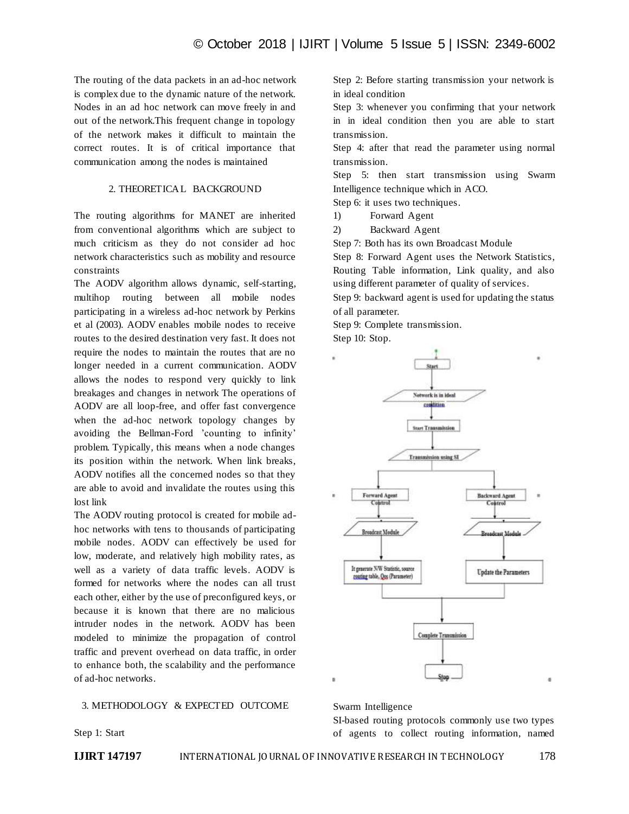The routing of the data packets in an ad-hoc network is complex due to the dynamic nature of the network. Nodes in an ad hoc network can move freely in and out of the network.This frequent change in topology of the network makes it difficult to maintain the correct routes. It is of critical importance that communication among the nodes is maintained

# 2. THEORETICAL BACKGROUND

The routing algorithms for MANET are inherited from conventional algorithms which are subject to much criticism as they do not consider ad hoc network characteristics such as mobility and resource constraints

The AODV algorithm allows dynamic, self-starting, multihop routing between all mobile nodes participating in a wireless ad-hoc network by Perkins et al (2003). AODV enables mobile nodes to receive routes to the desired destination very fast. It does not require the nodes to maintain the routes that are no longer needed in a current communication. AODV allows the nodes to respond very quickly to link breakages and changes in network The operations of AODV are all loop-free, and offer fast convergence when the ad-hoc network topology changes by avoiding the Bellman-Ford 'counting to infinity' problem. Typically, this means when a node changes its position within the network. When link breaks, AODV notifies all the concerned nodes so that they are able to avoid and invalidate the routes using this lost link

The AODV routing protocol is created for mobile adhoc networks with tens to thousands of participating mobile nodes. AODV can effectively be used for low, moderate, and relatively high mobility rates, as well as a variety of data traffic levels. AODV is formed for networks where the nodes can all trust each other, either by the use of preconfigured keys, or because it is known that there are no malicious intruder nodes in the network. AODV has been modeled to minimize the propagation of control traffic and prevent overhead on data traffic, in order to enhance both, the scalability and the performance of ad-hoc networks.

#### 3. METHODOLOGY & EXPECTED OUTCOME

Step 1: Start

in ideal condition Step 3: whenever you confirming that your network in in ideal condition then you are able to start

Step 2: Before starting transmission your network is

transmission. Step 4: after that read the parameter using normal

Step 5: then start transmission using Swarm Intelligence technique which in ACO.

Step 6: it uses two techniques.

1) Forward Agent

transmission.

2) Backward Agent

Step 7: Both has its own Broadcast Module

Step 8: Forward Agent uses the Network Statistics, Routing Table information, Link quality, and also using different parameter of quality of services.

Step 9: backward agent is used for updating the status of all parameter.

Step 9: Complete transmission. Step 10: Stop.



Swarm Intelligence

SI-based routing protocols commonly use two types of agents to collect routing information, named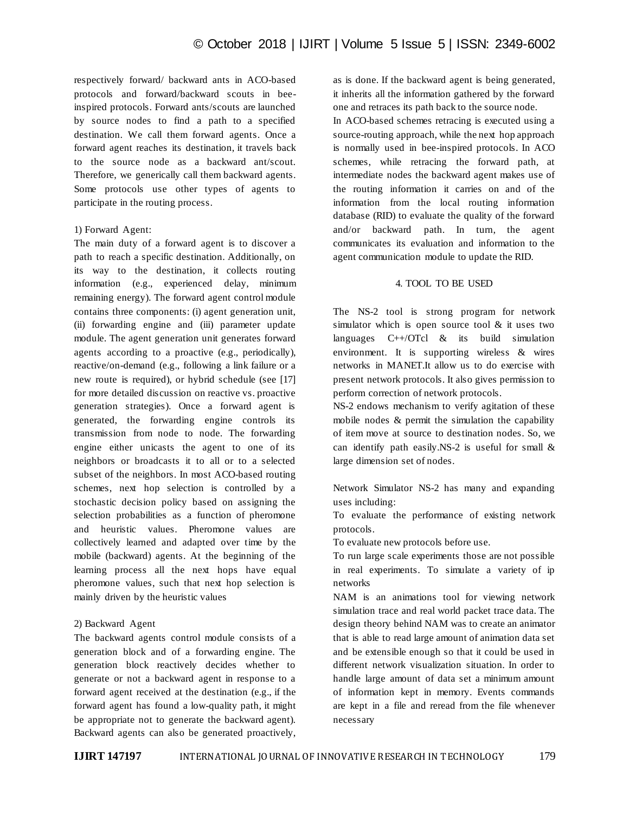respectively forward/ backward ants in ACO-based protocols and forward/backward scouts in beeinspired protocols. Forward ants/scouts are launched by source nodes to find a path to a specified destination. We call them forward agents. Once a forward agent reaches its destination, it travels back to the source node as a backward ant/scout. Therefore, we generically call them backward agents. Some protocols use other types of agents to participate in the routing process.

## 1) Forward Agent:

The main duty of a forward agent is to discover a path to reach a specific destination. Additionally, on its way to the destination, it collects routing information (e.g., experienced delay, minimum remaining energy). The forward agent control module contains three components: (i) agent generation unit, (ii) forwarding engine and (iii) parameter update module. The agent generation unit generates forward agents according to a proactive (e.g., periodically), reactive/on-demand (e.g., following a link failure or a new route is required), or hybrid schedule (see [17] for more detailed discussion on reactive vs. proactive generation strategies). Once a forward agent is generated, the forwarding engine controls its transmission from node to node. The forwarding engine either unicasts the agent to one of its neighbors or broadcasts it to all or to a selected subset of the neighbors. In most ACO-based routing schemes, next hop selection is controlled by a stochastic decision policy based on assigning the selection probabilities as a function of pheromone and heuristic values. Pheromone values are collectively learned and adapted over time by the mobile (backward) agents. At the beginning of the learning process all the next hops have equal pheromone values, such that next hop selection is mainly driven by the heuristic values

#### 2) Backward Agent

The backward agents control module consists of a generation block and of a forwarding engine. The generation block reactively decides whether to generate or not a backward agent in response to a forward agent received at the destination (e.g., if the forward agent has found a low-quality path, it might be appropriate not to generate the backward agent). Backward agents can also be generated proactively,

as is done. If the backward agent is being generated, it inherits all the information gathered by the forward one and retraces its path back to the source node. In ACO-based schemes retracing is executed using a source-routing approach, while the next hop approach is normally used in bee-inspired protocols. In ACO schemes, while retracing the forward path, at intermediate nodes the backward agent makes use of the routing information it carries on and of the information from the local routing information database (RID) to evaluate the quality of the forward and/or backward path. In turn, the agent communicates its evaluation and information to the agent communication module to update the RID.

# 4. TOOL TO BE USED

The NS-2 tool is strong program for network simulator which is open source tool  $\&$  it uses two languages  $C++/OTc1$  & its build simulation environment. It is supporting wireless & wires networks in MANET.It allow us to do exercise with present network protocols. It also gives permission to perform correction of network protocols.

NS-2 endows mechanism to verify agitation of these mobile nodes & permit the simulation the capability of item move at source to destination nodes. So, we can identify path easily.NS-2 is useful for small & large dimension set of nodes.

Network Simulator NS-2 has many and expanding uses including:

To evaluate the performance of existing network protocols.

To evaluate new protocols before use.

To run large scale experiments those are not possible in real experiments. To simulate a variety of ip networks

NAM is an animations tool for viewing network simulation trace and real world packet trace data. The design theory behind NAM was to create an animator that is able to read large amount of animation data set and be extensible enough so that it could be used in different network visualization situation. In order to handle large amount of data set a minimum amount of information kept in memory. Events commands are kept in a file and reread from the file whenever necessary